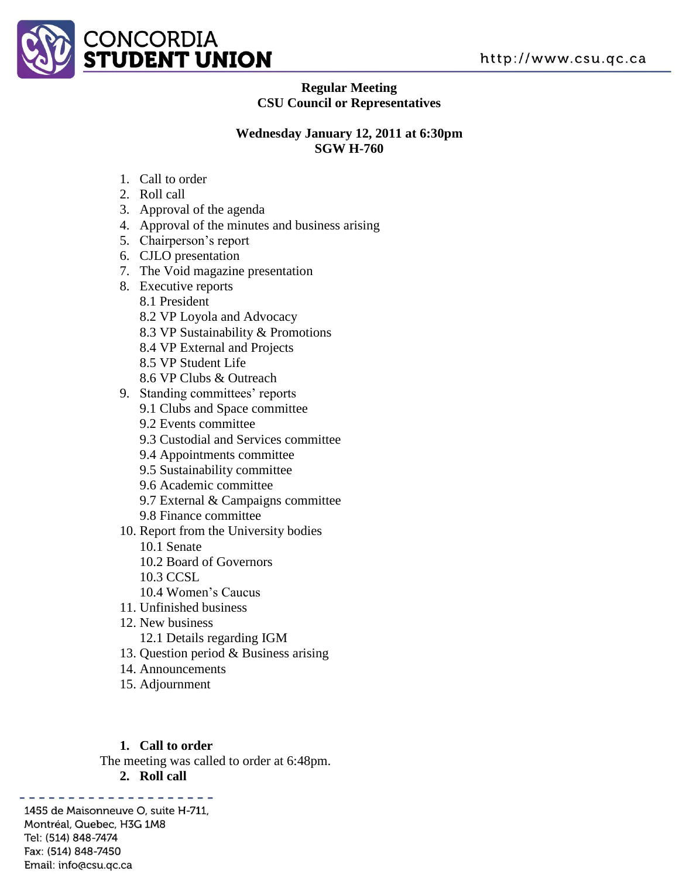

#### **Regular Meeting CSU Council or Representatives**

#### **Wednesday January 12, 2011 at 6:30pm SGW H-760**

- 1. Call to order
- 2. Roll call
- 3. Approval of the agenda
- 4. Approval of the minutes and business arising
- 5. Chairperson's report
- 6. CJLO presentation
- 7. The Void magazine presentation
- 8. Executive reports
	- 8.1 President
		- 8.2 VP Loyola and Advocacy
		- 8.3 VP Sustainability & Promotions
		- 8.4 VP External and Projects
		- 8.5 VP Student Life
		- 8.6 VP Clubs & Outreach
- 9. Standing committees' reports
	- 9.1 Clubs and Space committee
	- 9.2 Events committee
	- 9.3 Custodial and Services committee
	- 9.4 Appointments committee
	- 9.5 Sustainability committee
	- 9.6 Academic committee
	- 9.7 External & Campaigns committee
	- 9.8 Finance committee
- 10. Report from the University bodies
	- 10.1 Senate
	- 10.2 Board of Governors
	- 10.3 CCSL
	- 10.4 Women's Caucus
- 11. Unfinished business
- 12. New business
	- 12.1 Details regarding IGM
- 13. Question period & Business arising
- 14. Announcements
- 15. Adjournment

# **1. Call to order**

The meeting was called to order at 6:48pm.

**2. Roll call**

. . . . . . . . . . . . . . 1455 de Maisonneuve O, suite H-711, Montréal, Quebec, H3G 1M8 Tel: (514) 848-7474 Fax: (514) 848-7450 Email: info@csu.qc.ca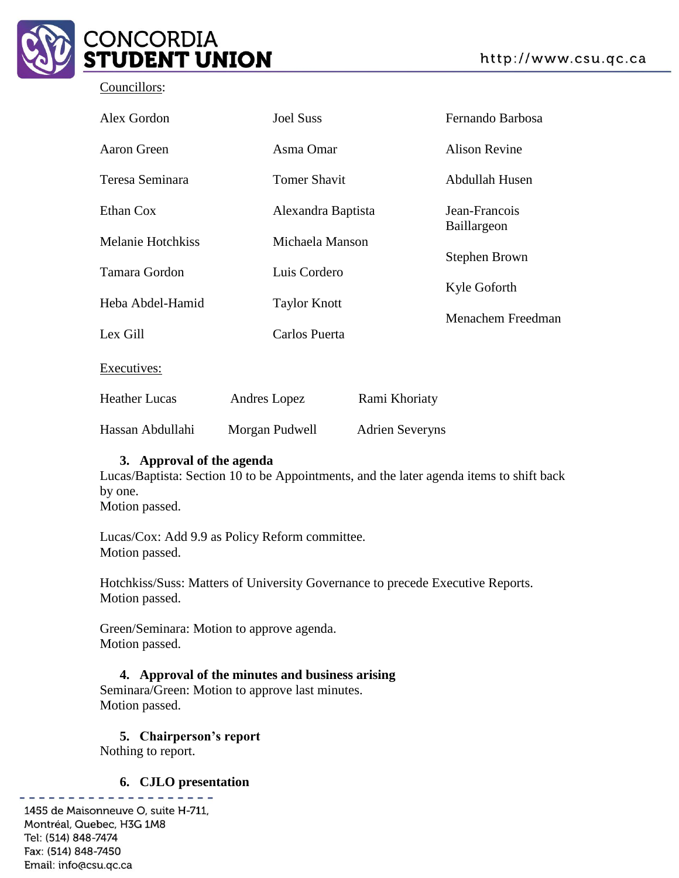

#### Councillors:

| Alex Gordon              | <b>Joel Suss</b>    |                                       |                      |
|--------------------------|---------------------|---------------------------------------|----------------------|
| Aaron Green              | Asma Omar           |                                       | <b>Alison Revine</b> |
| Teresa Seminara          | <b>Tomer Shavit</b> |                                       | Abdullah Husen       |
| Ethan Cox                |                     | Alexandra Baptista<br>Michaela Manson |                      |
| <b>Melanie Hotchkiss</b> |                     |                                       |                      |
| Tamara Gordon            | Luis Cordero        |                                       | Stephen Brown        |
| Heba Abdel-Hamid         | <b>Taylor Knott</b> |                                       | Kyle Goforth         |
| Lex Gill                 | Carlos Puerta       |                                       |                      |
| Executives:              |                     |                                       |                      |
| <b>Heather Lucas</b>     | Andres Lopez        | Rami Khoriaty                         |                      |
|                          |                     |                                       |                      |

Hassan Abdullahi Morgan Pudwell Adrien Severyns

#### **3. Approval of the agenda**

Lucas/Baptista: Section 10 to be Appointments, and the later agenda items to shift back by one. Motion passed.

Lucas/Cox: Add 9.9 as Policy Reform committee. Motion passed.

Hotchkiss/Suss: Matters of University Governance to precede Executive Reports. Motion passed.

Green/Seminara: Motion to approve agenda. Motion passed.

**4. Approval of the minutes and business arising** Seminara/Green: Motion to approve last minutes. Motion passed.

# **5. Chairperson's report**

Nothing to report.

#### **6. CJLO presentation**

1455 de Maisonneuve O, suite H-711, Montréal, Quebec, H3G 1M8 Tel: (514) 848-7474 Fax: (514) 848-7450 Email: info@csu.qc.ca

. . . . . . . . . . . . . . .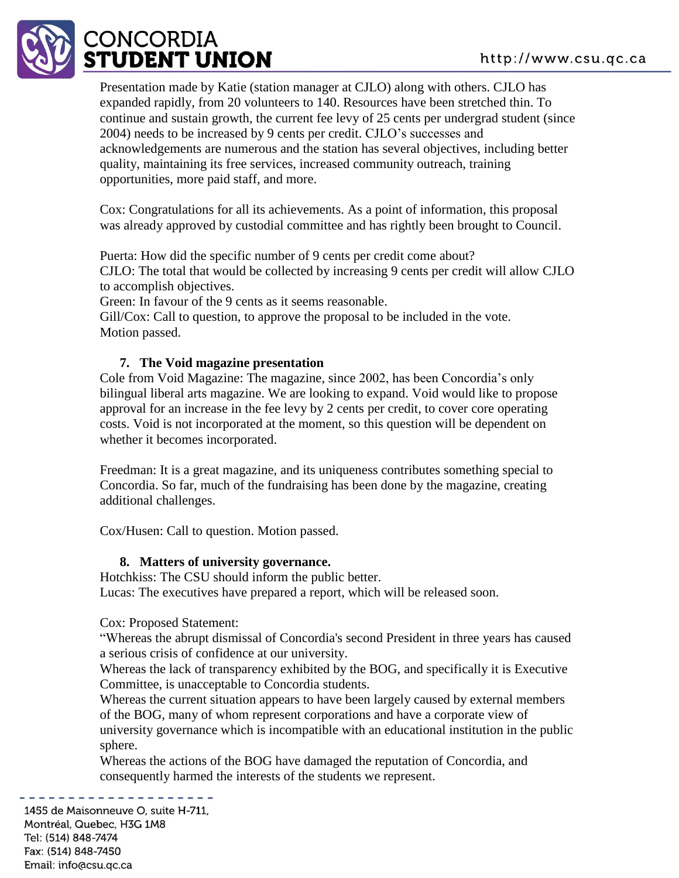

Presentation made by Katie (station manager at CJLO) along with others. CJLO has expanded rapidly, from 20 volunteers to 140. Resources have been stretched thin. To continue and sustain growth, the current fee levy of 25 cents per undergrad student (since 2004) needs to be increased by 9 cents per credit. CJLO's successes and acknowledgements are numerous and the station has several objectives, including better quality, maintaining its free services, increased community outreach, training opportunities, more paid staff, and more.

Cox: Congratulations for all its achievements. As a point of information, this proposal was already approved by custodial committee and has rightly been brought to Council.

Puerta: How did the specific number of 9 cents per credit come about? CJLO: The total that would be collected by increasing 9 cents per credit will allow CJLO to accomplish objectives.

Green: In favour of the 9 cents as it seems reasonable.

Gill/Cox: Call to question, to approve the proposal to be included in the vote. Motion passed.

#### **7. The Void magazine presentation**

Cole from Void Magazine: The magazine, since 2002, has been Concordia's only bilingual liberal arts magazine. We are looking to expand. Void would like to propose approval for an increase in the fee levy by 2 cents per credit, to cover core operating costs. Void is not incorporated at the moment, so this question will be dependent on whether it becomes incorporated.

Freedman: It is a great magazine, and its uniqueness contributes something special to Concordia. So far, much of the fundraising has been done by the magazine, creating additional challenges.

Cox/Husen: Call to question. Motion passed.

#### **8. Matters of university governance.**

Hotchkiss: The CSU should inform the public better. Lucas: The executives have prepared a report, which will be released soon.

Cox: Proposed Statement:

"Whereas the abrupt dismissal of Concordia's second President in three years has caused a serious crisis of confidence at our university.

Whereas the lack of transparency exhibited by the BOG, and specifically it is Executive Committee, is unacceptable to Concordia students.

Whereas the current situation appears to have been largely caused by external members of the BOG, many of whom represent corporations and have a corporate view of university governance which is incompatible with an educational institution in the public sphere.

Whereas the actions of the BOG have damaged the reputation of Concordia, and consequently harmed the interests of the students we represent.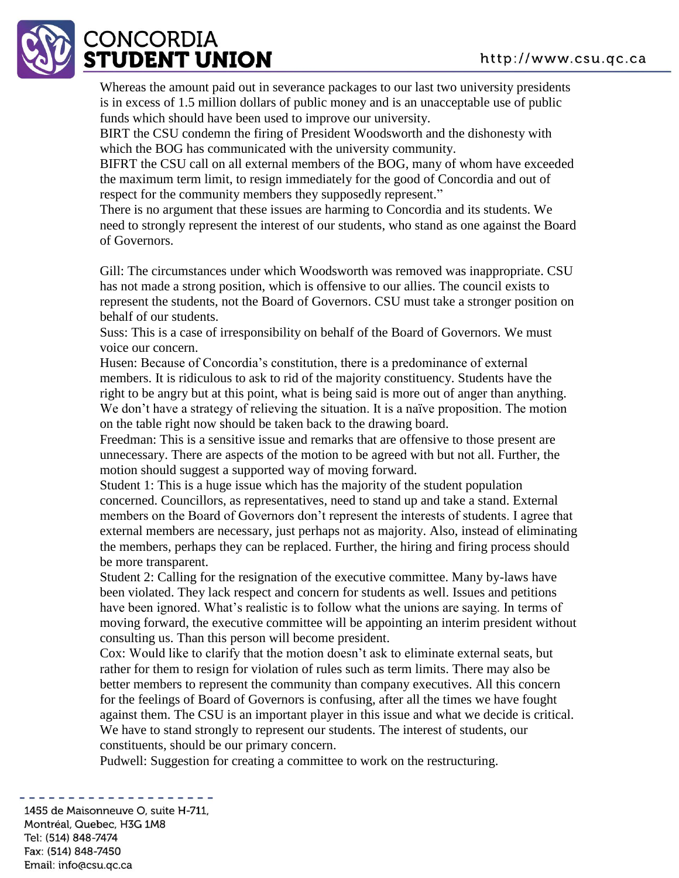

Whereas the amount paid out in severance packages to our last two university presidents is in excess of 1.5 million dollars of public money and is an unacceptable use of public funds which should have been used to improve our university.

BIRT the CSU condemn the firing of President Woodsworth and the dishonesty with which the BOG has communicated with the university community.

BIFRT the CSU call on all external members of the BOG, many of whom have exceeded the maximum term limit, to resign immediately for the good of Concordia and out of respect for the community members they supposedly represent."

There is no argument that these issues are harming to Concordia and its students. We need to strongly represent the interest of our students, who stand as one against the Board of Governors.

Gill: The circumstances under which Woodsworth was removed was inappropriate. CSU has not made a strong position, which is offensive to our allies. The council exists to represent the students, not the Board of Governors. CSU must take a stronger position on behalf of our students.

Suss: This is a case of irresponsibility on behalf of the Board of Governors. We must voice our concern.

Husen: Because of Concordia's constitution, there is a predominance of external members. It is ridiculous to ask to rid of the majority constituency. Students have the right to be angry but at this point, what is being said is more out of anger than anything. We don't have a strategy of relieving the situation. It is a naïve proposition. The motion on the table right now should be taken back to the drawing board.

Freedman: This is a sensitive issue and remarks that are offensive to those present are unnecessary. There are aspects of the motion to be agreed with but not all. Further, the motion should suggest a supported way of moving forward.

Student 1: This is a huge issue which has the majority of the student population concerned. Councillors, as representatives, need to stand up and take a stand. External members on the Board of Governors don't represent the interests of students. I agree that external members are necessary, just perhaps not as majority. Also, instead of eliminating the members, perhaps they can be replaced. Further, the hiring and firing process should be more transparent.

Student 2: Calling for the resignation of the executive committee. Many by-laws have been violated. They lack respect and concern for students as well. Issues and petitions have been ignored. What's realistic is to follow what the unions are saying. In terms of moving forward, the executive committee will be appointing an interim president without consulting us. Than this person will become president.

Cox: Would like to clarify that the motion doesn't ask to eliminate external seats, but rather for them to resign for violation of rules such as term limits. There may also be better members to represent the community than company executives. All this concern for the feelings of Board of Governors is confusing, after all the times we have fought against them. The CSU is an important player in this issue and what we decide is critical. We have to stand strongly to represent our students. The interest of students, our constituents, should be our primary concern.

Pudwell: Suggestion for creating a committee to work on the restructuring.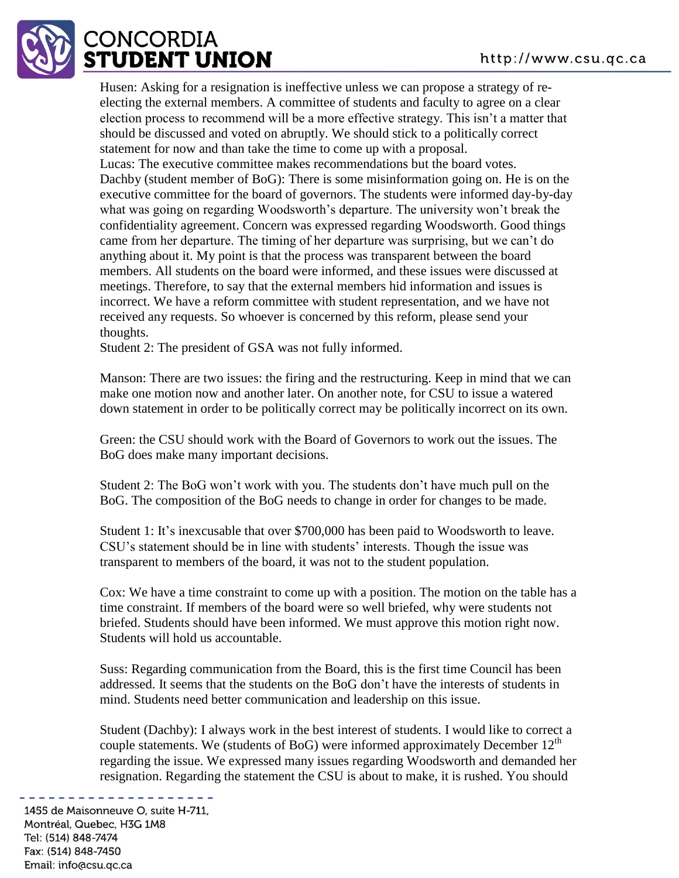

Husen: Asking for a resignation is ineffective unless we can propose a strategy of reelecting the external members. A committee of students and faculty to agree on a clear election process to recommend will be a more effective strategy. This isn't a matter that should be discussed and voted on abruptly. We should stick to a politically correct statement for now and than take the time to come up with a proposal. Lucas: The executive committee makes recommendations but the board votes. Dachby (student member of BoG): There is some misinformation going on. He is on the executive committee for the board of governors. The students were informed day-by-day what was going on regarding Woodsworth's departure. The university won't break the confidentiality agreement. Concern was expressed regarding Woodsworth. Good things came from her departure. The timing of her departure was surprising, but we can't do anything about it. My point is that the process was transparent between the board members. All students on the board were informed, and these issues were discussed at meetings. Therefore, to say that the external members hid information and issues is incorrect. We have a reform committee with student representation, and we have not received any requests. So whoever is concerned by this reform, please send your thoughts.

Student 2: The president of GSA was not fully informed.

Manson: There are two issues: the firing and the restructuring. Keep in mind that we can make one motion now and another later. On another note, for CSU to issue a watered down statement in order to be politically correct may be politically incorrect on its own.

Green: the CSU should work with the Board of Governors to work out the issues. The BoG does make many important decisions.

Student 2: The BoG won't work with you. The students don't have much pull on the BoG. The composition of the BoG needs to change in order for changes to be made.

Student 1: It's inexcusable that over \$700,000 has been paid to Woodsworth to leave. CSU's statement should be in line with students' interests. Though the issue was transparent to members of the board, it was not to the student population.

Cox: We have a time constraint to come up with a position. The motion on the table has a time constraint. If members of the board were so well briefed, why were students not briefed. Students should have been informed. We must approve this motion right now. Students will hold us accountable.

Suss: Regarding communication from the Board, this is the first time Council has been addressed. It seems that the students on the BoG don't have the interests of students in mind. Students need better communication and leadership on this issue.

Student (Dachby): I always work in the best interest of students. I would like to correct a couple statements. We (students of BoG) were informed approximately December  $12<sup>th</sup>$ regarding the issue. We expressed many issues regarding Woodsworth and demanded her resignation. Regarding the statement the CSU is about to make, it is rushed. You should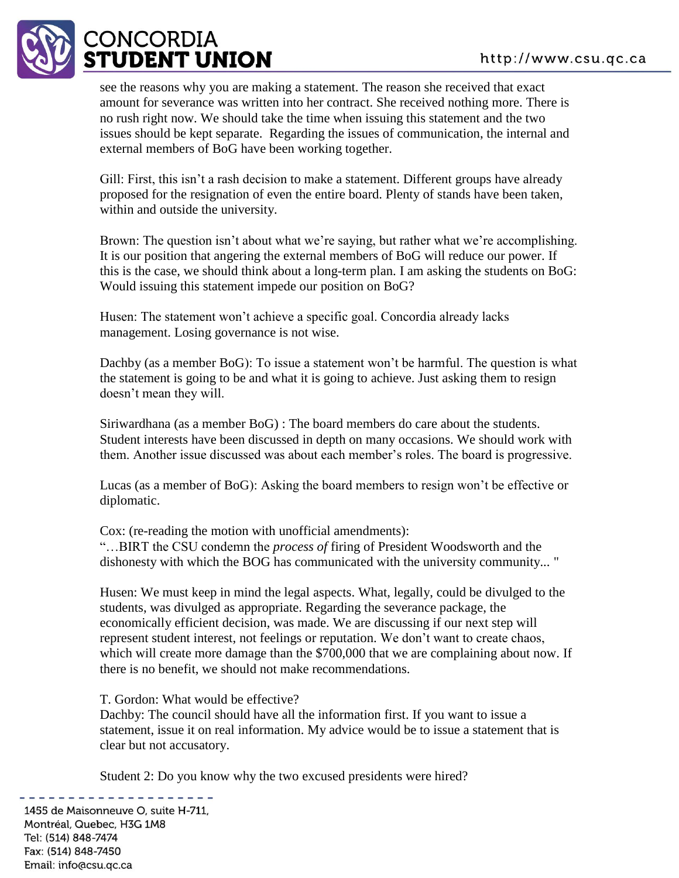

see the reasons why you are making a statement. The reason she received that exact amount for severance was written into her contract. She received nothing more. There is no rush right now. We should take the time when issuing this statement and the two issues should be kept separate. Regarding the issues of communication, the internal and external members of BoG have been working together.

Gill: First, this isn't a rash decision to make a statement. Different groups have already proposed for the resignation of even the entire board. Plenty of stands have been taken, within and outside the university.

Brown: The question isn't about what we're saying, but rather what we're accomplishing. It is our position that angering the external members of BoG will reduce our power. If this is the case, we should think about a long-term plan. I am asking the students on BoG: Would issuing this statement impede our position on BoG?

Husen: The statement won't achieve a specific goal. Concordia already lacks management. Losing governance is not wise.

Dachby (as a member BoG): To issue a statement won't be harmful. The question is what the statement is going to be and what it is going to achieve. Just asking them to resign doesn't mean they will.

Siriwardhana (as a member BoG) : The board members do care about the students. Student interests have been discussed in depth on many occasions. We should work with them. Another issue discussed was about each member's roles. The board is progressive.

Lucas (as a member of BoG): Asking the board members to resign won't be effective or diplomatic.

Cox: (re-reading the motion with unofficial amendments): "…BIRT the CSU condemn the *process of* firing of President Woodsworth and the dishonesty with which the BOG has communicated with the university community... "

Husen: We must keep in mind the legal aspects. What, legally, could be divulged to the students, was divulged as appropriate. Regarding the severance package, the economically efficient decision, was made. We are discussing if our next step will represent student interest, not feelings or reputation. We don't want to create chaos, which will create more damage than the \$700,000 that we are complaining about now. If there is no benefit, we should not make recommendations.

T. Gordon: What would be effective?

Dachby: The council should have all the information first. If you want to issue a statement, issue it on real information. My advice would be to issue a statement that is clear but not accusatory.

Student 2: Do you know why the two excused presidents were hired?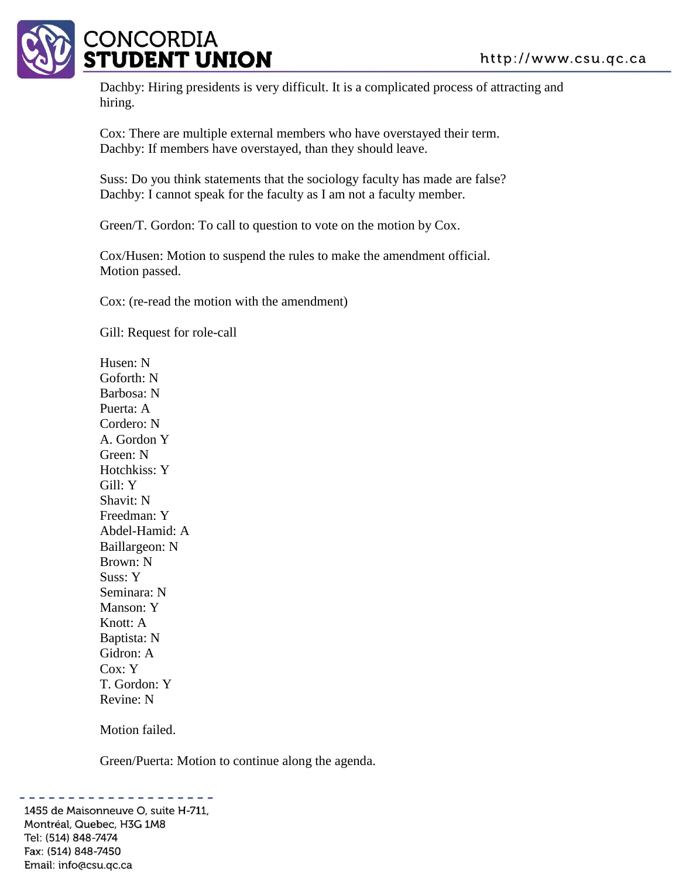

Dachby: Hiring presidents is very difficult. It is a complicated process of attracting and hiring.

Cox: There are multiple external members who have overstayed their term. Dachby: If members have overstayed, than they should leave.

Suss: Do you think statements that the sociology faculty has made are false? Dachby: I cannot speak for the faculty as I am not a faculty member.

Green/T. Gordon: To call to question to vote on the motion by Cox.

Cox/Husen: Motion to suspend the rules to make the amendment official. Motion passed.

Cox: (re-read the motion with the amendment)

Gill: Request for role-call

Husen: N Goforth: N Barbosa: N Puerta: A Cordero: N A. Gordon Y Green: N Hotchkiss: Y Gill: Y Shavit: N Freedman: Y Abdel-Hamid: A Baillargeon: N Brown: N Suss: Y Seminara: N Manson: Y Knott: A Baptista: N Gidron: A Cox: Y T. Gordon: Y Revine: N

Motion failed.

Green/Puerta: Motion to continue along the agenda.

. . . . . . . . . . . . . . . 1455 de Maisonneuve O, suite H-711, Montréal, Quebec, H3G 1M8 Tel: (514) 848-7474 Fax: (514) 848-7450 Email: info@csu.qc.ca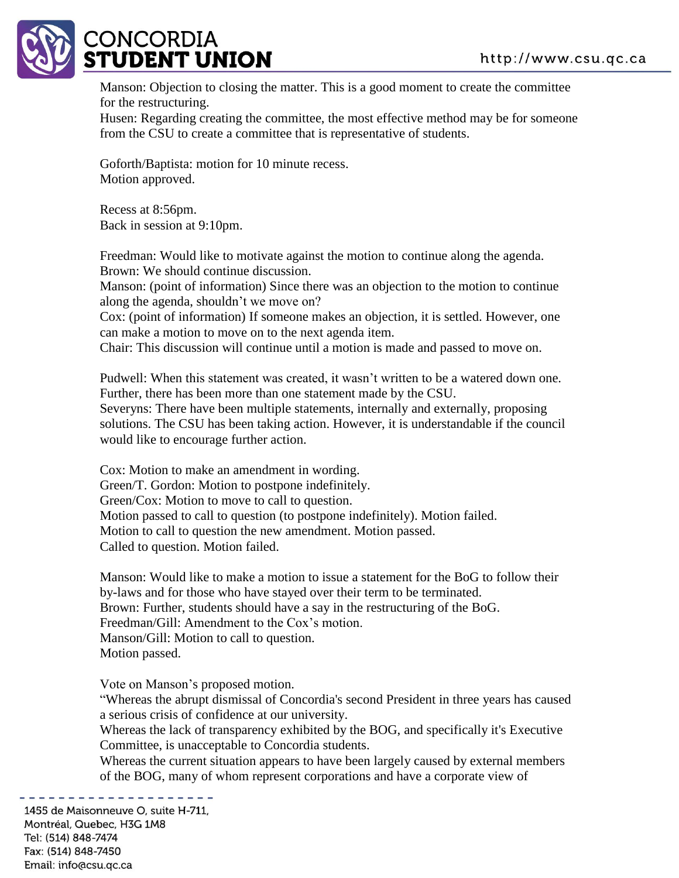

Manson: Objection to closing the matter. This is a good moment to create the committee for the restructuring.

Husen: Regarding creating the committee, the most effective method may be for someone from the CSU to create a committee that is representative of students.

Goforth/Baptista: motion for 10 minute recess. Motion approved.

Recess at 8:56pm. Back in session at 9:10pm.

Freedman: Would like to motivate against the motion to continue along the agenda. Brown: We should continue discussion.

Manson: (point of information) Since there was an objection to the motion to continue along the agenda, shouldn't we move on?

Cox: (point of information) If someone makes an objection, it is settled. However, one can make a motion to move on to the next agenda item.

Chair: This discussion will continue until a motion is made and passed to move on.

Pudwell: When this statement was created, it wasn't written to be a watered down one. Further, there has been more than one statement made by the CSU.

Severyns: There have been multiple statements, internally and externally, proposing solutions. The CSU has been taking action. However, it is understandable if the council would like to encourage further action.

Cox: Motion to make an amendment in wording. Green/T. Gordon: Motion to postpone indefinitely. Green/Cox: Motion to move to call to question. Motion passed to call to question (to postpone indefinitely). Motion failed. Motion to call to question the new amendment. Motion passed. Called to question. Motion failed.

Manson: Would like to make a motion to issue a statement for the BoG to follow their by-laws and for those who have stayed over their term to be terminated. Brown: Further, students should have a say in the restructuring of the BoG. Freedman/Gill: Amendment to the Cox's motion. Manson/Gill: Motion to call to question. Motion passed.

Vote on Manson's proposed motion.

"Whereas the abrupt dismissal of Concordia's second President in three years has caused a serious crisis of confidence at our university.

Whereas the lack of transparency exhibited by the BOG, and specifically it's Executive Committee, is unacceptable to Concordia students.

Whereas the current situation appears to have been largely caused by external members of the BOG, many of whom represent corporations and have a corporate view of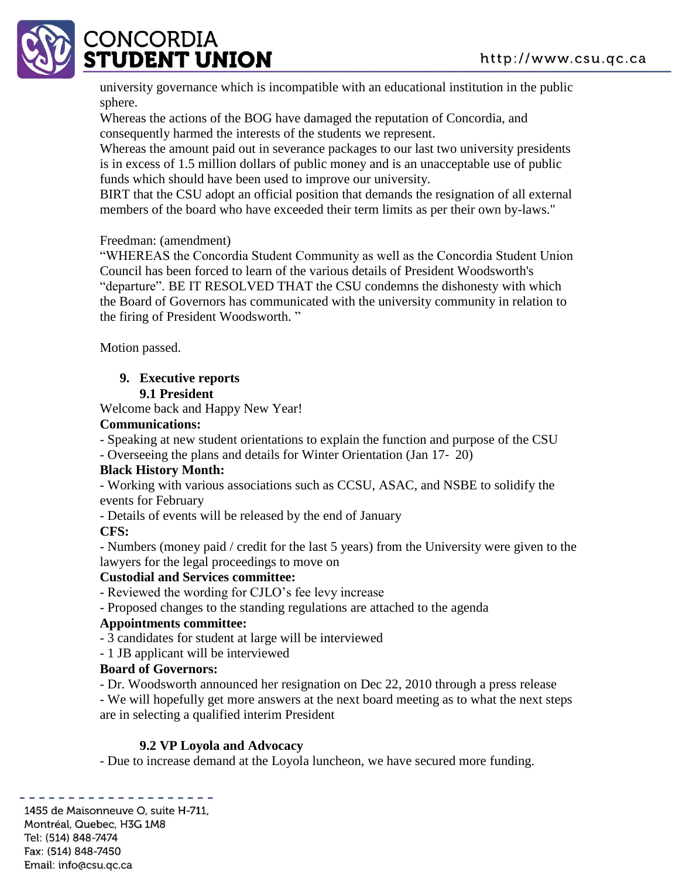

university governance which is incompatible with an educational institution in the public sphere.

Whereas the actions of the BOG have damaged the reputation of Concordia, and consequently harmed the interests of the students we represent.

Whereas the amount paid out in severance packages to our last two university presidents is in excess of 1.5 million dollars of public money and is an unacceptable use of public funds which should have been used to improve our university.

BIRT that the CSU adopt an official position that demands the resignation of all external members of the board who have exceeded their term limits as per their own by-laws."

## Freedman: (amendment)

"WHEREAS the Concordia Student Community as well as the Concordia Student Union Council has been forced to learn of the various details of President Woodsworth's "departure". BE IT RESOLVED THAT the CSU condemns the dishonesty with which the Board of Governors has communicated with the university community in relation to the firing of President Woodsworth. "

Motion passed.

# **9. Executive reports**

#### **9.1 President**

Welcome back and Happy New Year!

#### **Communications:**

- Speaking at new student orientations to explain the function and purpose of the CSU

- Overseeing the plans and details for Winter Orientation (Jan 17‐ 20)

## **Black History Month:**

- Working with various associations such as CCSU, ASAC, and NSBE to solidify the events for February

- Details of events will be released by the end of January

## **CFS:**

- Numbers (money paid / credit for the last 5 years) from the University were given to the lawyers for the legal proceedings to move on

## **Custodial and Services committee:**

- Reviewed the wording for CJLO's fee levy increase

- Proposed changes to the standing regulations are attached to the agenda

## **Appointments committee:**

- 3 candidates for student at large will be interviewed

- 1 JB applicant will be interviewed

## **Board of Governors:**

- Dr. Woodsworth announced her resignation on Dec 22, 2010 through a press release

- We will hopefully get more answers at the next board meeting as to what the next steps are in selecting a qualified interim President

## **9.2 VP Loyola and Advocacy**

- Due to increase demand at the Loyola luncheon, we have secured more funding.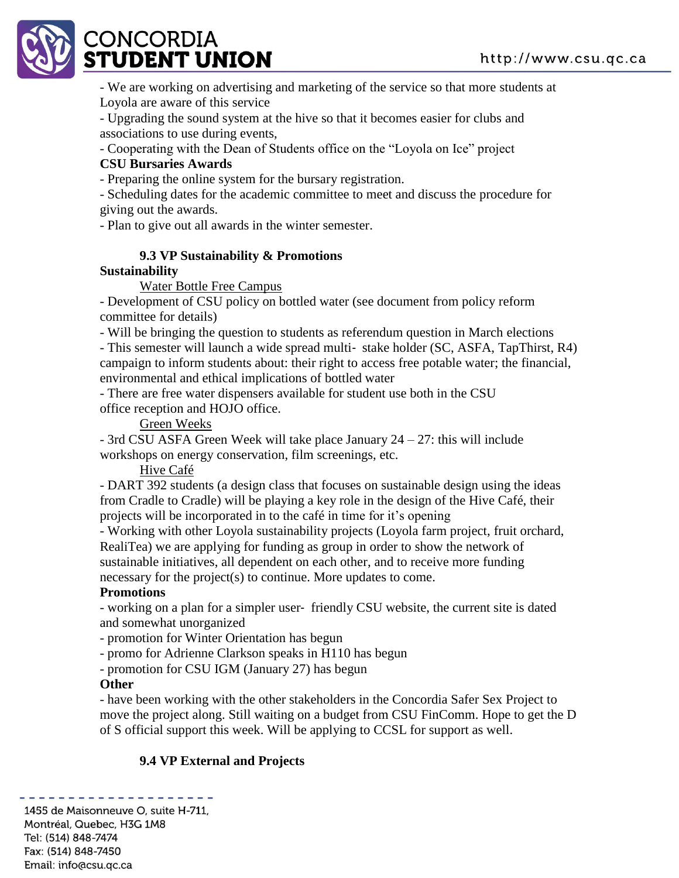# CONCORDIA **TUDENT UNION**

- We are working on advertising and marketing of the service so that more students at Loyola are aware of this service

- Upgrading the sound system at the hive so that it becomes easier for clubs and associations to use during events,

- Cooperating with the Dean of Students office on the "Loyola on Ice" project

#### **CSU Bursaries Awards**

- Preparing the online system for the bursary registration.

- Scheduling dates for the academic committee to meet and discuss the procedure for giving out the awards.

- Plan to give out all awards in the winter semester.

## **9.3 VP Sustainability & Promotions**

## **Sustainability**

Water Bottle Free Campus

- Development of CSU policy on bottled water (see document from policy reform committee for details)

- Will be bringing the question to students as referendum question in March elections

- This semester will launch a wide spread multi- stake holder (SC, ASFA, TapThirst, R4) campaign to inform students about: their right to access free potable water; the financial, environmental and ethical implications of bottled water

- There are free water dispensers available for student use both in the CSU office reception and HOJO office.

Green Weeks

- 3rd CSU ASFA Green Week will take place January 24 – 27: this will include

workshops on energy conservation, film screenings, etc.

Hive Café

- DART 392 students (a design class that focuses on sustainable design using the ideas from Cradle to Cradle) will be playing a key role in the design of the Hive Café, their projects will be incorporated in to the café in time for it's opening

- Working with other Loyola sustainability projects (Loyola farm project, fruit orchard, RealiTea) we are applying for funding as group in order to show the network of sustainable initiatives, all dependent on each other, and to receive more funding necessary for the project(s) to continue. More updates to come.

## **Promotions**

- working on a plan for a simpler user‐ friendly CSU website, the current site is dated and somewhat unorganized

- promotion for Winter Orientation has begun

- promo for Adrienne Clarkson speaks in H110 has begun

- promotion for CSU IGM (January 27) has begun

#### **Other**

- have been working with the other stakeholders in the Concordia Safer Sex Project to move the project along. Still waiting on a budget from CSU FinComm. Hope to get the D of S official support this week. Will be applying to CCSL for support as well.

# **9.4 VP External and Projects**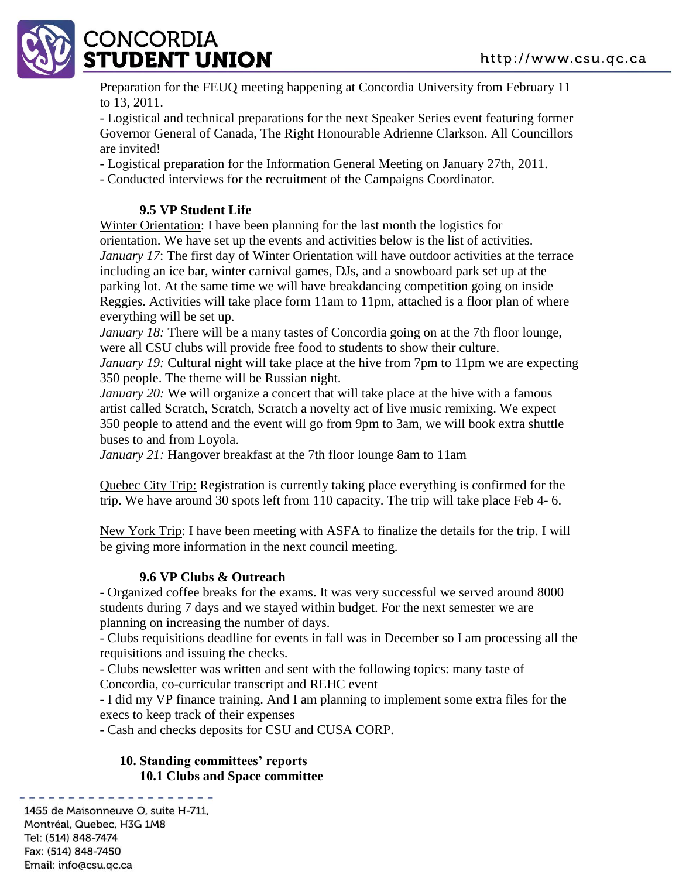

Preparation for the FEUQ meeting happening at Concordia University from February 11 to 13, 2011.

- Logistical and technical preparations for the next Speaker Series event featuring former Governor General of Canada, The Right Honourable Adrienne Clarkson. All Councillors are invited!

- Logistical preparation for the Information General Meeting on January 27th, 2011.

- Conducted interviews for the recruitment of the Campaigns Coordinator.

## **9.5 VP Student Life**

Winter Orientation: I have been planning for the last month the logistics for orientation. We have set up the events and activities below is the list of activities. *January 17*: The first day of Winter Orientation will have outdoor activities at the terrace including an ice bar, winter carnival games, DJs, and a snowboard park set up at the parking lot. At the same time we will have breakdancing competition going on inside Reggies. Activities will take place form 11am to 11pm, attached is a floor plan of where everything will be set up.

*January 18:* There will be a many tastes of Concordia going on at the 7th floor lounge, were all CSU clubs will provide free food to students to show their culture.

*January 19:* Cultural night will take place at the hive from 7pm to 11pm we are expecting 350 people. The theme will be Russian night.

*January 20:* We will organize a concert that will take place at the hive with a famous artist called Scratch, Scratch, Scratch a novelty act of live music remixing. We expect 350 people to attend and the event will go from 9pm to 3am, we will book extra shuttle buses to and from Loyola.

*January 21:* Hangover breakfast at the 7th floor lounge 8am to 11am

Quebec City Trip: Registration is currently taking place everything is confirmed for the trip. We have around 30 spots left from 110 capacity. The trip will take place Feb 4- 6.

New York Trip: I have been meeting with ASFA to finalize the details for the trip. I will be giving more information in the next council meeting.

## **9.6 VP Clubs & Outreach**

- Organized coffee breaks for the exams. It was very successful we served around 8000 students during 7 days and we stayed within budget. For the next semester we are planning on increasing the number of days.

- Clubs requisitions deadline for events in fall was in December so I am processing all the requisitions and issuing the checks.

- Clubs newsletter was written and sent with the following topics: many taste of Concordia, co-curricular transcript and REHC event

- I did my VP finance training. And I am planning to implement some extra files for the execs to keep track of their expenses

- Cash and checks deposits for CSU and CUSA CORP.

#### **10. Standing committees' reports 10.1 Clubs and Space committee**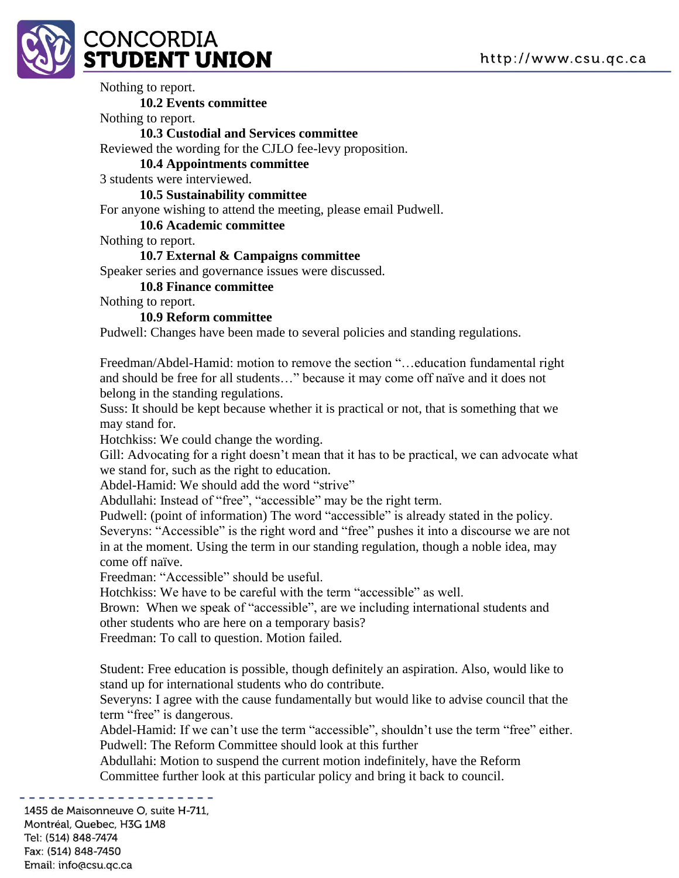

Nothing to report. **10.2 Events committee** Nothing to report. **10.3 Custodial and Services committee** Reviewed the wording for the CJLO fee-levy proposition. **10.4 Appointments committee** 3 students were interviewed. **10.5 Sustainability committee** For anyone wishing to attend the meeting, please email Pudwell. **10.6 Academic committee** Nothing to report. **10.7 External & Campaigns committee** Speaker series and governance issues were discussed. **10.8 Finance committee** Nothing to report. **10.9 Reform committee** Pudwell: Changes have been made to several policies and standing regulations. Freedman/Abdel-Hamid: motion to remove the section "…education fundamental right and should be free for all students…" because it may come off naïve and it does not belong in the standing regulations. Suss: It should be kept because whether it is practical or not, that is something that we may stand for.

Hotchkiss: We could change the wording.

Gill: Advocating for a right doesn't mean that it has to be practical, we can advocate what we stand for, such as the right to education.

Abdel-Hamid: We should add the word "strive"

Abdullahi: Instead of "free", "accessible" may be the right term.

Pudwell: (point of information) The word "accessible" is already stated in the policy. Severyns: "Accessible" is the right word and "free" pushes it into a discourse we are not in at the moment. Using the term in our standing regulation, though a noble idea, may come off naïve.

Freedman: "Accessible" should be useful.

Hotchkiss: We have to be careful with the term "accessible" as well.

Brown: When we speak of "accessible", are we including international students and other students who are here on a temporary basis?

Freedman: To call to question. Motion failed.

Student: Free education is possible, though definitely an aspiration. Also, would like to stand up for international students who do contribute.

Severyns: I agree with the cause fundamentally but would like to advise council that the term "free" is dangerous.

Abdel-Hamid: If we can't use the term "accessible", shouldn't use the term "free" either. Pudwell: The Reform Committee should look at this further

Abdullahi: Motion to suspend the current motion indefinitely, have the Reform Committee further look at this particular policy and bring it back to council.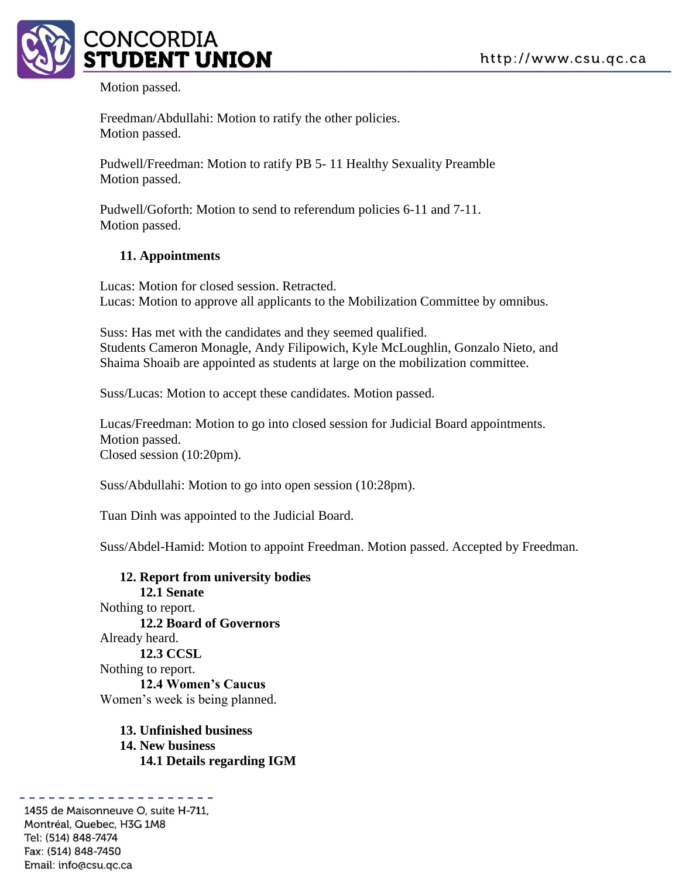

Motion passed.

Freedman/Abdullahi: Motion to ratify the other policies. Motion passed.

Pudwell/Freedman: Motion to ratify PB 5- 11 Healthy Sexuality Preamble Motion passed.

Pudwell/Goforth: Motion to send to referendum policies 6-11 and 7-11. Motion passed.

#### **11. Appointments**

Lucas: Motion for closed session. Retracted. Lucas: Motion to approve all applicants to the Mobilization Committee by omnibus.

Suss: Has met with the candidates and they seemed qualified. Students Cameron Monagle, Andy Filipowich, Kyle McLoughlin, Gonzalo Nieto, and Shaima Shoaib are appointed as students at large on the mobilization committee.

Suss/Lucas: Motion to accept these candidates. Motion passed.

Lucas/Freedman: Motion to go into closed session for Judicial Board appointments. Motion passed. Closed session (10:20pm).

Suss/Abdullahi: Motion to go into open session (10:28pm).

Tuan Dinh was appointed to the Judicial Board.

Suss/Abdel-Hamid: Motion to appoint Freedman. Motion passed. Accepted by Freedman.

**12. Report from university bodies 12.1 Senate** Nothing to report. **12.2 Board of Governors** Already heard. **12.3 CCSL** Nothing to report. **12.4 Women's Caucus** Women's week is being planned.

**13. Unfinished business 14. New business 14.1 Details regarding IGM**